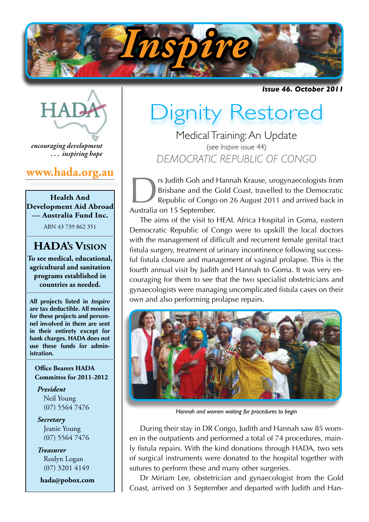

*Issue 46. October 2011*

*encouraging development . . . inspiring hope*

# **www.hada.org.au**

**Health And Development Aid Abroad — Australia Fund Inc.**

ABN 43 739 862 351

# **HADA's Vision**

**To see medical, educational, agricultural and sanitation programs established in countries as needed.**

**All projects listed in** *Inspire* **are tax deductible. All monies for these projects and personnel involved in them are sent in their entirety except for bank charges. HADA does not use these funds for administration.**

#### **Office Bearers HADA Committee for 2011-2012**

*President* Neil Young (07) 5564 7476

*Secretary* Jeanie Young (07) 5564 7476

*Treasurer* Roslyn Logan (07) 3201 4149

 **hada@pobox.com**

# Dignity Restored

Medical Training: An Update (see *Inspire* issue 44) *DEMOCRATIC REPUBLIC OF CONGO*

IS Judith Goh and Hannah Krause, urogynaecologists from<br>Brisbane and the Gold Coast, travelled to the Democratic<br>Republic of Congo on 26 August 2011 and arrived back in<br>Australia on 15 September Brisbane and the Gold Coast, travelled to the Democratic Republic of Congo on 26 August 2011 and arrived back in Australia on 15 September.

The aims of the visit to HEAL Africa Hospital in Goma, eastern Democratic Republic of Congo were to upskill the local doctors with the management of difficult and recurrent female genital tract fistula surgery, treatment of urinary incontinence following successful fistula closure and management of vaginal prolapse. This is the fourth annual visit by Judith and Hannah to Goma. It was very encouraging for them to see that the two specialist obstetricians and gynaecologists were managing uncomplicated fistula cases on their own and also performing prolapse repairs.



*Hannah and women waiting for procedures to begin*

During their stay in DR Congo, Judith and Hannah saw 85 women in the outpatients and performed a total of 74 procedures, mainly fistula repairs. With the kind donations through HADA, two sets of surgical instruments were donated to the hospital together with sutures to perform these and many other surgeries.

Dr Miriam Lee, obstetrician and gynaecologist from the Gold Coast, arrived on 3 September and departed with Judith and Han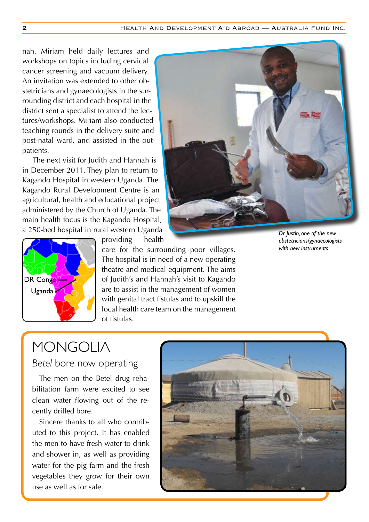nah. Miriam held daily lectures and workshops on topics including cervical cancer screening and vacuum delivery. An invitation was extended to other obstetricians and gynaecologists in the surrounding district and each hospital in the district sent a specialist to attend the lectures/workshops. Miriam also conducted teaching rounds in the delivery suite and post-natal ward, and assisted in the outpatients.

The next visit for Judith and Hannah is in December 2011. They plan to return to Kagando Hospital in western Uganda. The Kagando Rural Development Centre is an agricultural, health and educational project administered by the Church of Uganda. The main health focus is the Kagando Hospital, a 250-bed hospital in rural western Uganda





providing health

care for the surrounding poor villages. The hospital is in need of a new operating theatre and medical equipment. The aims of Judith's and Hannah's visit to Kagando are to assist in the management of women with genital tract fistulas and to upskill the local health care team on the management of fistulas.

*Dr Justin, one of the new obstetricians/gynaecologists with new instruments*

# MONGOLIA

*Betel* bore now operating

The men on the Betel drug rehabilitation farm were excited to see clean water flowing out of the recently drilled bore.

Sincere thanks to all who contributed to this project. It has enabled the men to have fresh water to drink and shower in, as well as providing water for the pig farm and the fresh vegetables they grow for their own use as well as for sale.

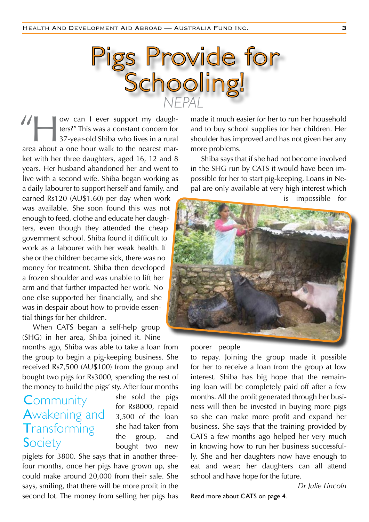

w can I ever support my daugh-<br>ters?" This was a constant concern for<br>37-year-old Shiba who lives in a rural ters?" This was a constant concern for 37-year-old Shiba who lives in a rural area about a one hour walk to the nearest market with her three daughters, aged 16, 12 and 8 years. Her husband abandoned her and went to live with a second wife. Shiba began working as a daily labourer to support herself and family, and "

earned Rs120 (AU\$1.60) per day when work was available. She soon found this was not enough to feed, clothe and educate her daughters, even though they attended the cheap government school. Shiba found it difficult to work as a labourer with her weak health. If she or the children became sick, there was no money for treatment. Shiba then developed a frozen shoulder and was unable to lift her arm and that further impacted her work. No one else supported her financially, and she was in despair about how to provide essential things for her children.

When CATS began a self-help group (SHG) in her area, Shiba joined it. Nine

months ago, Shiba was able to take a loan from the group to begin a pig-keeping business. She received Rs7,500 (AU\$100) from the group and bought two pigs for Rs3000, spending the rest of the money to build the pigs' sty. After four months

# Community Awakening and **Transforming Society**

she sold the pigs for Rs8000, repaid 3,500 of the loan she had taken from the group, and bought two new

piglets for 3800. She says that in another threefour months, once her pigs have grown up, she could make around 20,000 from their sale. She says, smiling, that there will be more profit in the second lot. The money from selling her pigs has made it much easier for her to run her household and to buy school supplies for her children. Her shoulder has improved and has not given her any more problems.

Shiba says that if she had not become involved in the SHG run by CATS it would have been impossible for her to start pig-keeping. Loans in Nepal are only available at very high interest which is impossible for



poorer people

to repay. Joining the group made it possible for her to receive a loan from the group at low interest. Shiba has big hope that the remaining loan will be completely paid off after a few months. All the profit generated through her business will then be invested in buying more pigs so she can make more profit and expand her business. She says that the training provided by CATS a few months ago helped her very much in knowing how to run her business successfully. She and her daughters now have enough to eat and wear; her daughters can all attend school and have hope for the future.

*Dr Julie Lincoln*

Read more about CATS on page 4.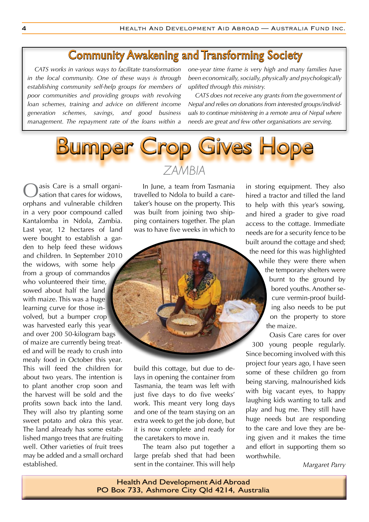# Community Awakening and Transforming Society

*CATS works in various ways to facilitate transformation in the local community. One of these ways is through establishing community self-help groups for members of poor communities and providing groups with revolving loan schemes, training and advice on different income generation schemes, savings, and good business management. The repayment rate of the loans within a* 

*one-year time frame is very high and many families have been economically, socially, physically and psychologically uplifted through this ministry.*

*CATS does not receive any grants from the government of Nepal and relies on donations from interested groups/individuals to continue ministering in a remote area of Nepal where needs are great and few other organisations are serving.* 



asis Care is a small organisation that cares for widows, orphans and vulnerable children in a very poor compound called Kantalomba in Ndola, Zambia. Last year, 12 hectares of land were bought to establish a garden to help feed these widows and children. In September 2010 the widows, with some help from a group of commandos who volunteered their time, sowed about half the land with maize. This was a huge learning curve for those involved, but a bumper crop was harvested early this year and over 200 50-kilogram bags of maize are currently being treated and will be ready to crush into mealy food in October this year. This will feed the children for about two years. The intention is to plant another crop soon and the harvest will be sold and the profits sown back into the land. They will also try planting some sweet potato and okra this year. The land already has some established mango trees that are fruiting well. Other varieties of fruit trees may be added and a small orchard established.

# *ZAMBIA*

In June, a team from Tasmania travelled to Ndola to build a caretaker's house on the property. This was built from joining two shipping containers together. The plan was to have five weeks in which to



build this cottage, but due to delays in opening the container from Tasmania, the team was left with just five days to do five weeks' work. This meant very long days and one of the team staying on an extra week to get the job done, but it is now complete and ready for the caretakers to move in.

The team also put together a large prefab shed that had been sent in the container. This will help

in storing equipment. They also hired a tractor and tilled the land to help with this year's sowing, and hired a grader to give road access to the cottage. Immediate needs are for a security fence to be built around the cottage and shed; the need for this was highlighted while they were there when the temporary shelters were burnt to the ground by bored youths. Another secure vermin-proof building also needs to be put

on the property to store the maize.

Oasis Care cares for over 300 young people regularly. Since becoming involved with this project four years ago, I have seen some of these children go from being starving, malnourished kids with big vacant eyes, to happy laughing kids wanting to talk and play and hug me. They still have huge needs but are responding to the care and love they are being given and it makes the time and effort in supporting them so worthwhile.

*Margaret Parry*

Health And Development Aid Abroad PO Box 733, Ashmore City Qld 4214, Australia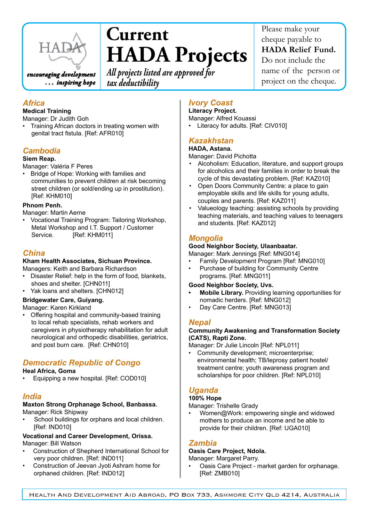

*. . . inspiring hope*

# **Current HADA Projects**

*All projects listed are approved for tax deductibility*

### *Africa*

#### **Medical Training**

Manager: Dr Judith Goh

• Training African doctors in treating women with genital tract fistula. [Ref: AFR010]

## *Cambodia*

#### **Siem Reap.**

Manager: Valéria F Peres

• Bridge of Hope: Working with families and communities to prevent children at risk becoming street children (or sold/ending up in prostitution). [Ref: KHM010]

#### **Phnom Penh.**

Manager: Martin Aerne 

• Vocational Training Program: Tailoring Workshop, Metal Workshop and I.T. Support / Customer Service. [Ref: KHM011]

### *China*

#### **Kham Health Associates, Sichuan Province.** Managers: Keith and Barbara Richardson

- • Disaster Relief: help in the form of food, blankets, shoes and shelter. [CHN011]
- Yak loans and shelters. [CHN012]

#### **Bridgewater Care, Guiyang.**

Manager: Karen Kirkland

• Offering hospital and community-based training to local rehab specialists, rehab workers and caregivers in physiotherapy rehabilitation for adult neurological and orthopedic disabilities, geriatrics, and post burn care. [Ref: CHN010]

# *Democratic Republic of Congo*

#### **Heal Africa, Goma**

Equipping a new hospital. [Ref: COD010]

#### *India*

#### **Maxton Strong Orphanage School, Banbassa.** Manager: Rick Shipway

School buildings for orphans and local children. [Ref: IND010]

#### **Vocational and Career Development, Orissa.** Manager: Bill Watson

- Construction of Shepherd International School for very poor children. [Ref: IND011]
- Construction of Jeevan Jyoti Ashram home for orphaned children. [Ref: IND012]

# *Ivory Coast*

**Literacy Project.**

- Manager: Alfred Kouassi
- • Literacy for adults. [Ref: CIV010]

# *Kazakhstan*

## **HADA, Astana.**

Manager: David Pichotta

- Alcoholism: Education, literature, and support groups for alcoholics and their families in order to break the cycle of this devastating problem. [Ref: KAZ010]
- Open Doors Community Centre: a place to gain employable skills and life skills for young adults, couples and parents. [Ref: KAZ011]
- Valueology teaching: assisting schools by providing teaching materials, and teaching values to teenagers and students. [Ref: KAZ012]

## *Mongolia*

#### **Good Neighbor Society, Ulaanbaatar.**

Manager: Mark Jennings [Ref: MNG014]

- Family Development Program [Ref: MNG010]
- Purchase of building for Community Centre programs. [Ref: MNG011]

#### **Good Neighbor Society, Uvs.**

- **Mobile Library.** Providing learning opportunities for nomadic herders. [Ref: MNG012]
- Day Care Centre. [Ref: MNG013]

### *Nepal*

#### **Community Awakening and Transformation Society (CATS), Rapti Zone.**

Manager: Dr Julie Lincoln [Ref: NPL011]

Community development; microenterprise; environmental health; TB/leprosy patient hostel/ treatment centre; youth awareness program and scholarships for poor children. [Ref: NPL010]

# *Uganda*

#### **100% Hope**

Manager: Trishelle Grady

Women@Work: empowering single and widowed mothers to produce an income and be able to provide for their children. [Ref: UGA010]

### *Zambia*

#### **Oasis Care Project, Ndola.**

Manager: Margaret Parry.

Oasis Care Project - market garden for orphanage. [Ref: ZMB010]

Please make your cheque payable to **HADA Relief Fund.** Do not include the name of the person or project on the cheque.